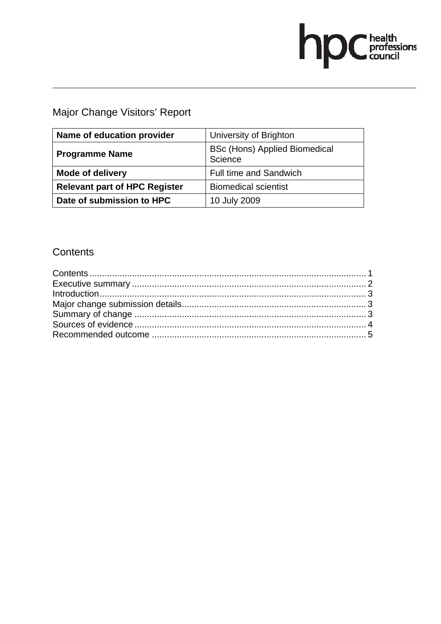# hp Chealth

Major Change Visitors' Report

| Name of education provider           | University of Brighton                          |
|--------------------------------------|-------------------------------------------------|
| <b>Programme Name</b>                | <b>BSc (Hons) Applied Biomedical</b><br>Science |
| <b>Mode of delivery</b>              | <b>Full time and Sandwich</b>                   |
| <b>Relevant part of HPC Register</b> | <b>Biomedical scientist</b>                     |
| Date of submission to HPC            | 10 July 2009                                    |

# **Contents**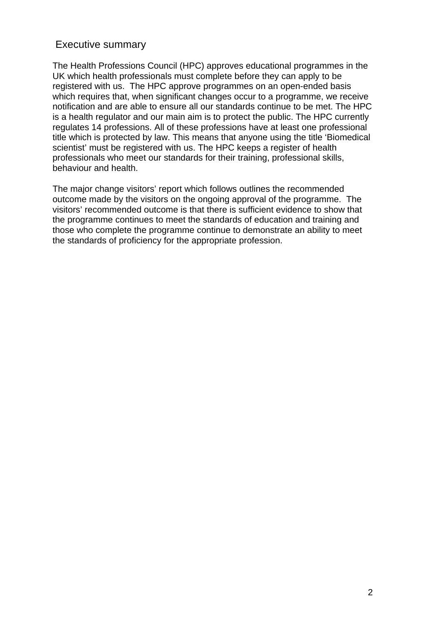# Executive summary

The Health Professions Council (HPC) approves educational programmes in the UK which health professionals must complete before they can apply to be registered with us. The HPC approve programmes on an open-ended basis which requires that, when significant changes occur to a programme, we receive notification and are able to ensure all our standards continue to be met. The HPC is a health regulator and our main aim is to protect the public. The HPC currently regulates 14 professions. All of these professions have at least one professional title which is protected by law. This means that anyone using the title 'Biomedical scientist' must be registered with us. The HPC keeps a register of health professionals who meet our standards for their training, professional skills, behaviour and health.

The major change visitors' report which follows outlines the recommended outcome made by the visitors on the ongoing approval of the programme. The visitors' recommended outcome is that there is sufficient evidence to show that the programme continues to meet the standards of education and training and those who complete the programme continue to demonstrate an ability to meet the standards of proficiency for the appropriate profession.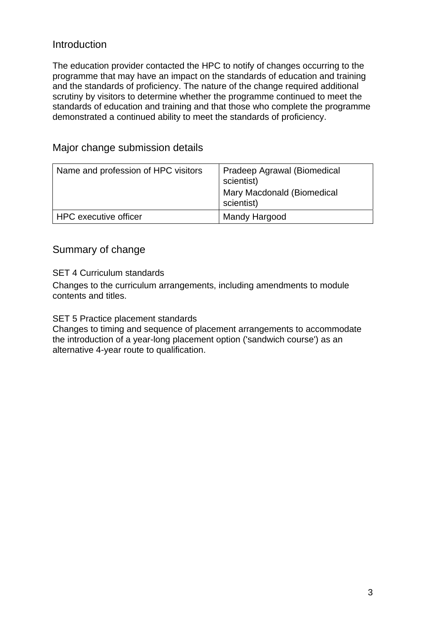# Introduction

The education provider contacted the HPC to notify of changes occurring to the programme that may have an impact on the standards of education and training and the standards of proficiency. The nature of the change required additional scrutiny by visitors to determine whether the programme continued to meet the standards of education and training and that those who complete the programme demonstrated a continued ability to meet the standards of proficiency.

| Name and profession of HPC visitors | Pradeep Agrawal (Biomedical<br>scientist)<br>Mary Macdonald (Biomedical<br>scientist) |
|-------------------------------------|---------------------------------------------------------------------------------------|
| HPC executive officer               | Mandy Hargood                                                                         |

# Major change submission details

# Summary of change

SET 4 Curriculum standards

Changes to the curriculum arrangements, including amendments to module contents and titles.

SET 5 Practice placement standards

Changes to timing and sequence of placement arrangements to accommodate the introduction of a year-long placement option ('sandwich course') as an alternative 4-year route to qualification.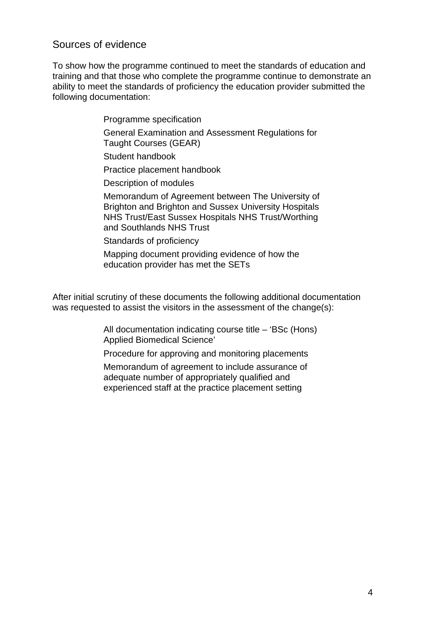# Sources of evidence

To show how the programme continued to meet the standards of education and training and that those who complete the programme continue to demonstrate an ability to meet the standards of proficiency the education provider submitted the following documentation:

> Programme specification General Examination and Assessment Regulations for Taught Courses (GEAR) Student handbook Practice placement handbook Description of modules Memorandum of Agreement between The University of Brighton and Brighton and Sussex University Hospitals NHS Trust/East Sussex Hospitals NHS Trust/Worthing and Southlands NHS Trust Standards of proficiency Mapping document providing evidence of how the

education provider has met the SETs

After initial scrutiny of these documents the following additional documentation was requested to assist the visitors in the assessment of the change(s):

> All documentation indicating course title – 'BSc (Hons) Applied Biomedical Science'

Procedure for approving and monitoring placements

Memorandum of agreement to include assurance of adequate number of appropriately qualified and experienced staff at the practice placement setting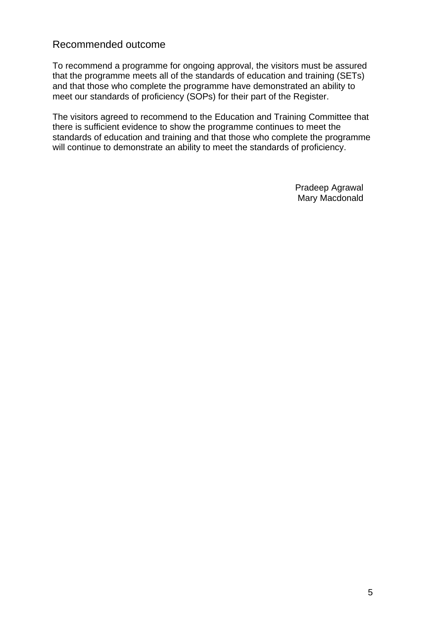## Recommended outcome

To recommend a programme for ongoing approval, the visitors must be assured that the programme meets all of the standards of education and training (SETs) and that those who complete the programme have demonstrated an ability to meet our standards of proficiency (SOPs) for their part of the Register.

The visitors agreed to recommend to the Education and Training Committee that there is sufficient evidence to show the programme continues to meet the standards of education and training and that those who complete the programme will continue to demonstrate an ability to meet the standards of proficiency.

> Pradeep Agrawal Mary Macdonald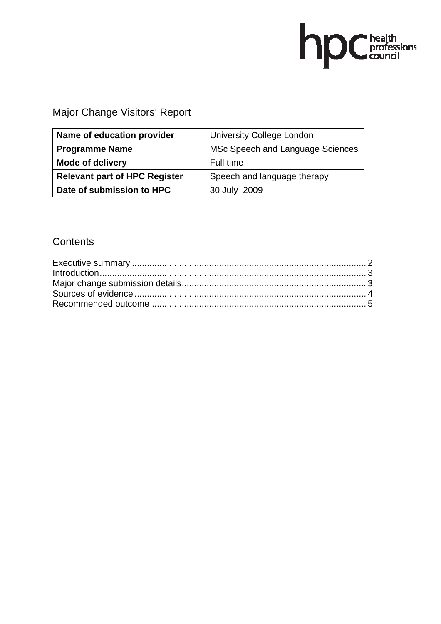# hp Chealth

Major Change Visitors' Report

| Name of education provider           | <b>University College London</b> |
|--------------------------------------|----------------------------------|
| <b>Programme Name</b>                | MSc Speech and Language Sciences |
| <b>Mode of delivery</b>              | Full time                        |
| <b>Relevant part of HPC Register</b> | Speech and language therapy      |
| Date of submission to HPC            | 30 July 2009                     |

# **Contents**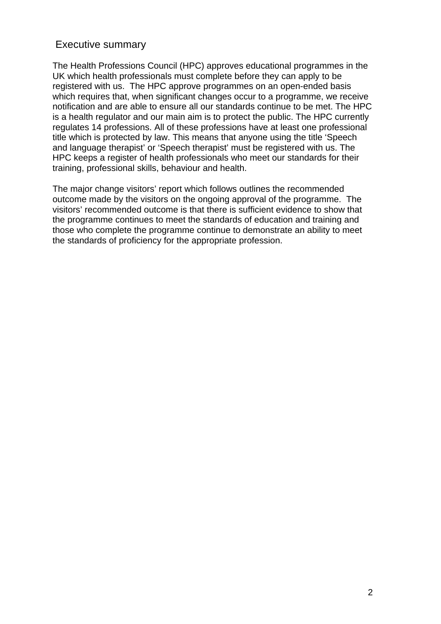# Executive summary

The Health Professions Council (HPC) approves educational programmes in the UK which health professionals must complete before they can apply to be registered with us. The HPC approve programmes on an open-ended basis which requires that, when significant changes occur to a programme, we receive notification and are able to ensure all our standards continue to be met. The HPC is a health regulator and our main aim is to protect the public. The HPC currently regulates 14 professions. All of these professions have at least one professional title which is protected by law. This means that anyone using the title 'Speech and language therapist' or 'Speech therapist' must be registered with us. The HPC keeps a register of health professionals who meet our standards for their training, professional skills, behaviour and health.

The major change visitors' report which follows outlines the recommended outcome made by the visitors on the ongoing approval of the programme. The visitors' recommended outcome is that there is sufficient evidence to show that the programme continues to meet the standards of education and training and those who complete the programme continue to demonstrate an ability to meet the standards of proficiency for the appropriate profession.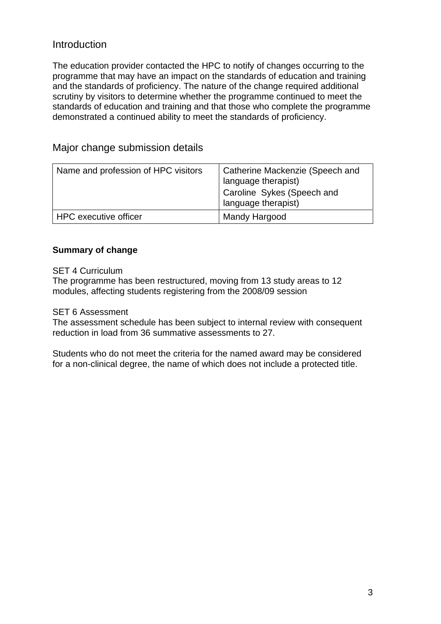# Introduction

The education provider contacted the HPC to notify of changes occurring to the programme that may have an impact on the standards of education and training and the standards of proficiency. The nature of the change required additional scrutiny by visitors to determine whether the programme continued to meet the standards of education and training and that those who complete the programme demonstrated a continued ability to meet the standards of proficiency.

| Name and profession of HPC visitors | Catherine Mackenzie (Speech and<br>language therapist)<br>Caroline Sykes (Speech and<br>language therapist) |
|-------------------------------------|-------------------------------------------------------------------------------------------------------------|
| HPC executive officer               | Mandy Hargood                                                                                               |

# Major change submission details

#### **Summary of change**

SET 4 Curriculum

The programme has been restructured, moving from 13 study areas to 12 modules, affecting students registering from the 2008/09 session

#### SET 6 Assessment

The assessment schedule has been subject to internal review with consequent reduction in load from 36 summative assessments to 27.

Students who do not meet the criteria for the named award may be considered for a non-clinical degree, the name of which does not include a protected title.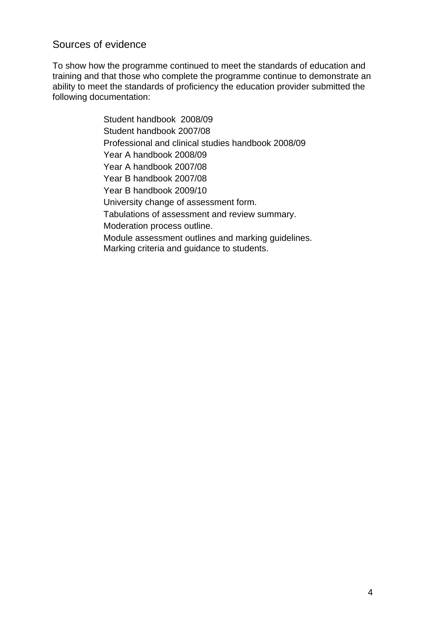# Sources of evidence

To show how the programme continued to meet the standards of education and training and that those who complete the programme continue to demonstrate an ability to meet the standards of proficiency the education provider submitted the following documentation:

> Student handbook 2008/09 Student handbook 2007/08 Professional and clinical studies handbook 2008/09 Year A handbook 2008/09 Year A handbook 2007/08 Year B handbook 2007/08 Year B handbook 2009/10 University change of assessment form. Tabulations of assessment and review summary. Moderation process outline. Module assessment outlines and marking guidelines. Marking criteria and guidance to students.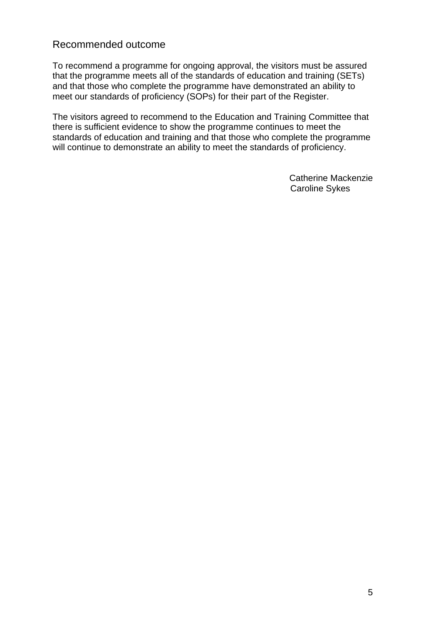## Recommended outcome

To recommend a programme for ongoing approval, the visitors must be assured that the programme meets all of the standards of education and training (SETs) and that those who complete the programme have demonstrated an ability to meet our standards of proficiency (SOPs) for their part of the Register.

The visitors agreed to recommend to the Education and Training Committee that there is sufficient evidence to show the programme continues to meet the standards of education and training and that those who complete the programme will continue to demonstrate an ability to meet the standards of proficiency.

> Catherine Mackenzie Caroline Sykes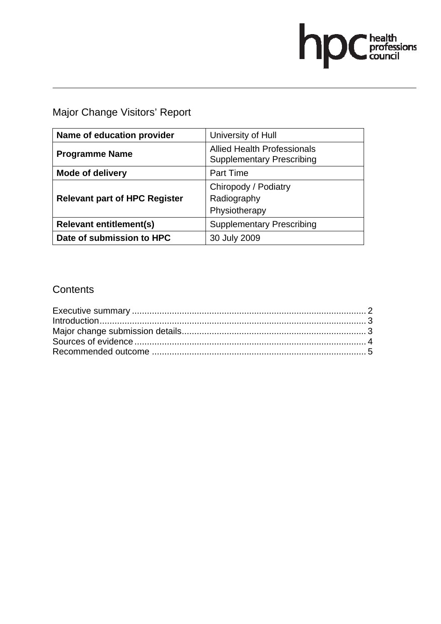# hpC health<br>council

Major Change Visitors' Report

| Name of education provider           | University of Hull                                                     |
|--------------------------------------|------------------------------------------------------------------------|
| <b>Programme Name</b>                | <b>Allied Health Professionals</b><br><b>Supplementary Prescribing</b> |
| <b>Mode of delivery</b>              | <b>Part Time</b>                                                       |
| <b>Relevant part of HPC Register</b> | Chiropody / Podiatry<br>Radiography<br>Physiotherapy                   |
| <b>Relevant entitlement(s)</b>       | <b>Supplementary Prescribing</b>                                       |
| Date of submission to HPC            | 30 July 2009                                                           |

# **Contents**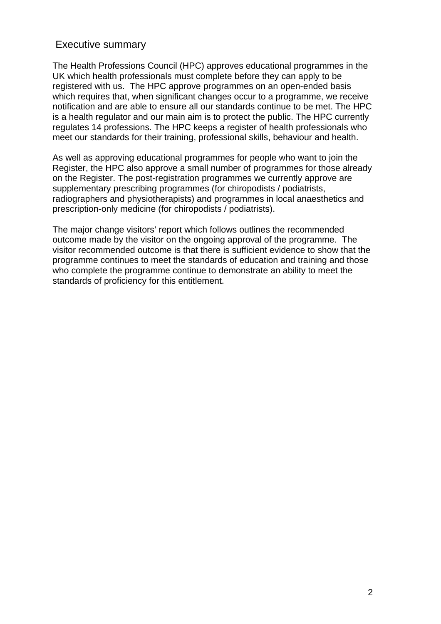# Executive summary

The Health Professions Council (HPC) approves educational programmes in the UK which health professionals must complete before they can apply to be registered with us. The HPC approve programmes on an open-ended basis which requires that, when significant changes occur to a programme, we receive notification and are able to ensure all our standards continue to be met. The HPC is a health regulator and our main aim is to protect the public. The HPC currently regulates 14 professions. The HPC keeps a register of health professionals who meet our standards for their training, professional skills, behaviour and health.

As well as approving educational programmes for people who want to join the Register, the HPC also approve a small number of programmes for those already on the Register. The post-registration programmes we currently approve are supplementary prescribing programmes (for chiropodists / podiatrists, radiographers and physiotherapists) and programmes in local anaesthetics and prescription-only medicine (for chiropodists / podiatrists).

The major change visitors' report which follows outlines the recommended outcome made by the visitor on the ongoing approval of the programme. The visitor recommended outcome is that there is sufficient evidence to show that the programme continues to meet the standards of education and training and those who complete the programme continue to demonstrate an ability to meet the standards of proficiency for this entitlement.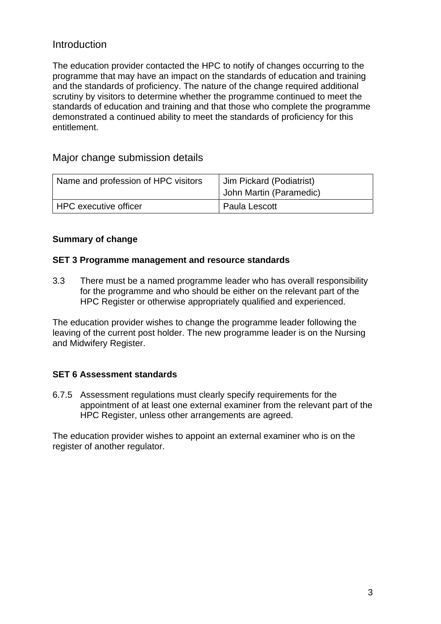# Introduction

The education provider contacted the HPC to notify of changes occurring to the programme that may have an impact on the standards of education and training and the standards of proficiency. The nature of the change required additional scrutiny by visitors to determine whether the programme continued to meet the standards of education and training and that those who complete the programme demonstrated a continued ability to meet the standards of proficiency for this entitlement.

### Major change submission details

| Name and profession of HPC visitors | Jim Pickard (Podiatrist)<br>John Martin (Paramedic) |
|-------------------------------------|-----------------------------------------------------|
| <sup>I</sup> HPC executive officer  | Paula Lescott                                       |

#### **Summary of change**

#### **SET 3 Programme management and resource standards**

3.3 There must be a named programme leader who has overall responsibility for the programme and who should be either on the relevant part of the HPC Register or otherwise appropriately qualified and experienced.

The education provider wishes to change the programme leader following the leaving of the current post holder. The new programme leader is on the Nursing and Midwifery Register.

#### **SET 6 Assessment standards**

6.7.5 Assessment regulations must clearly specify requirements for the appointment of at least one external examiner from the relevant part of the HPC Register, unless other arrangements are agreed.

The education provider wishes to appoint an external examiner who is on the register of another regulator.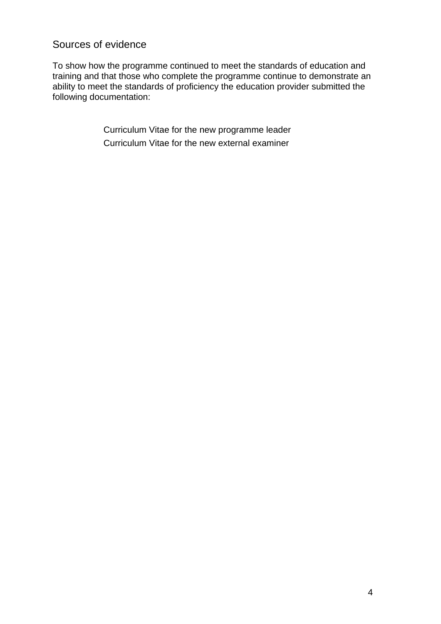# Sources of evidence

To show how the programme continued to meet the standards of education and training and that those who complete the programme continue to demonstrate an ability to meet the standards of proficiency the education provider submitted the following documentation:

> Curriculum Vitae for the new programme leader Curriculum Vitae for the new external examiner